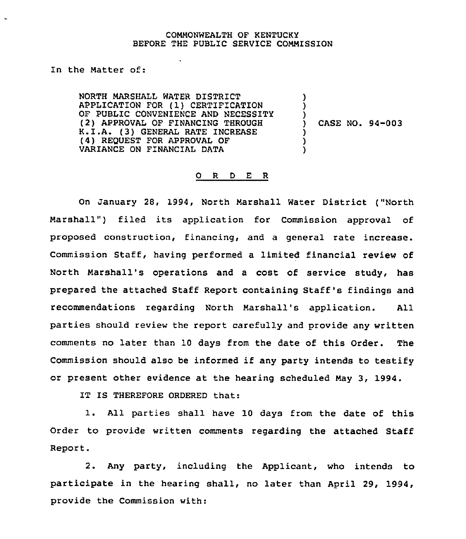#### COMMONWEALTH OF KENTUCKY BEFORE THE PUBLIC SERVICE COMMISSION

In the Matter of:

 $\ddot{\phantom{0}}$ 

NORTH MARSHALL WATER DISTRICT APPLICATION FOR (1) CERTIFICATION OF PUBLIC CONVENIENCE AND NECESSITY (2) APPROVAL OF FINANCING THROUGH K.I.A. (3) GENERAL RATE INCREASE (4) REQUEST FOR APPROVAL OF VARIANCE ON FINANCIAL DATA

) CASE NO. 94-003

) ) )

) ) )

#### 0 <sup>R</sup> <sup>D</sup> E R

On January 28, 1994, North Marshall Water District ("North Marshall") filed its application for Commission approval of proposed construction, financing, and a general rate increase. Commission Staff, having performed a limited financial review of North Marshall's operations and a cost of service study, has prepared the attached Staff Report containing Staff's findings and recommendations regarding North Marshall's application. All parties should review the report carefully and provide any written comments no later than 10 days from the date of this Order. The Commission should also be informed if any party intends to testify or present other evidence at the hearing scheduled May 3, 1994.

IT IS THEREFORE ORDERED that:

l. All parties shall have <sup>10</sup> days from the date of this Order to provide written comments regarding the attached Staff Report.

2. Any party, including the Applicant, who intends to participate in the hearing shall, no later than April 29, 1994, provide the Commission with: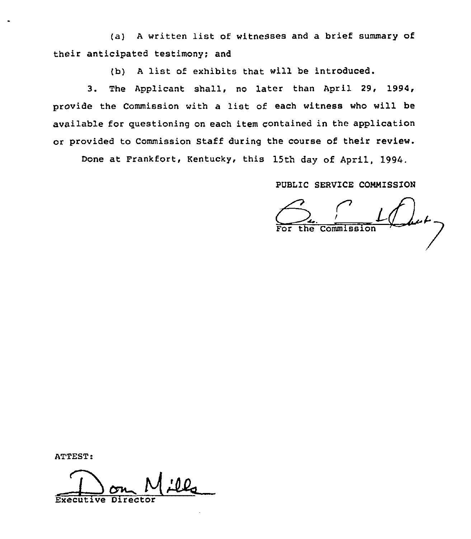(a) <sup>A</sup> written list of witnesses and <sup>a</sup> brief summary of their anticipated testimony; and

(b) <sup>A</sup> list of exhibits that will be introduced.

3. The Applicant shall, no later than April 29, 1994, provide the Commission with <sup>a</sup> list of each witness who will be available for questioning on each item contained in the application or provided to Commission Staff during the course of their review.

Done at Frankfort, Kentucky, this 15th day of April, 1994.

PUBLIC SERVICE COMMISSION

MISSION<br>Label -

ATTEST:

Executive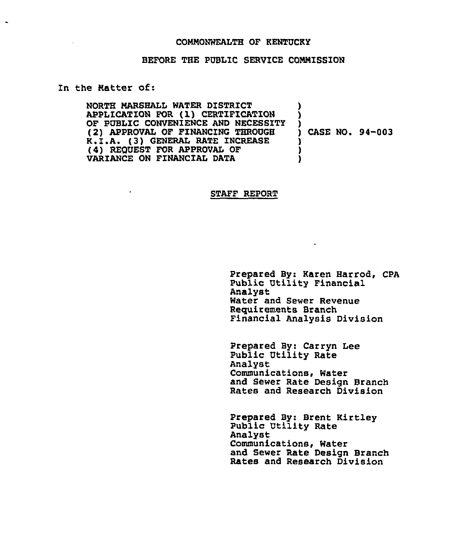#### COMMONWEALTH OF KENTUCKY

#### BEFORE THE PUBLIC SERVICE CONNISSION

## Zn the Natter of:

 $\bullet$ 

 $\ddot{\phantom{a}}$ 

NORTH NARSHALL WATER DISTRICT APPLTCATION FOR ( 1) CERTIFICATION OF PUBLIC CONVENIENCE AND NECESSITY (2) APPROVAL OF FINANCING THROUGH K.I.A. (3) GENERAL RATE INCREASE (4) REQUEST FOR APPROVAZ OF VARIANCE ON FINANCIAL DATA ) ) ) ) CASE NO. S4-003 ) ) )

## STAFF REPORT

Prepared By: Karen Harrod, CPA Public Utility Financial Analyst Water and Sewer Revenue Requirements Branch Financial Analysis Division

Prepared By: Carryn Lee Public Utility Rate Analyst Communications, Water and Sewer Rate Design Branch Rates and Research Division

Prepared By: Brent Kirtley Public Utility Rate Analyst Communications, Water and Sewer Rate Design Branch Rates and Research Division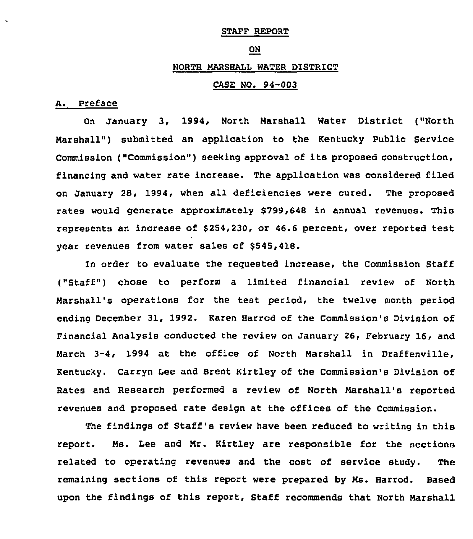#### STAFF REPORT

#### ON

## NORTH MARSHALL WATER DISTRICT

## CASE NO. 94-003

#### A. Preface

On January 3, 1994, North Marshall Water District ("North Marshall") submitted an application to the Kentucky Public Service Commission ("Commission") seeking approval of its proposed construction, financing and water rate increase. The application was considered filed on January 28, 1994, when all deficiencies were cured. The proposed rates would generate approximately 8799,648 in annual revenues. This represents an increase of 8254,230, or 46.6 percent, over reported test vear revenues from water sales of \$545,418.

ln order to evaluate the reguested increase, the Commission Staff ("Staff") chose to perform a limited financial review of North Marshall's operations for the test period, the twelve month period ending December 31, 1992. Karen Harrod of the Commission's Division of Financial Analysis conducted the review on January 26, February 16, and March 3-4, 1994 at the office of North Marshall in Draffenville, Kentucky. Carryn Lee and Brent Kirtley of the Commission's Division of Rates and Research performed a review of North Marshall's reported revenues and proposed rate design at the offices of the Commission.

The findings of Staff's review have been reduced to writing in this report. Ms. Lee and Mr. Kirtley are responsible for the sections related to operating revenues and the cost of service study. The remaining sections of this report were prepared by Ms. Harrod. Based upon the findings of this report, Staff recommends that North Marshall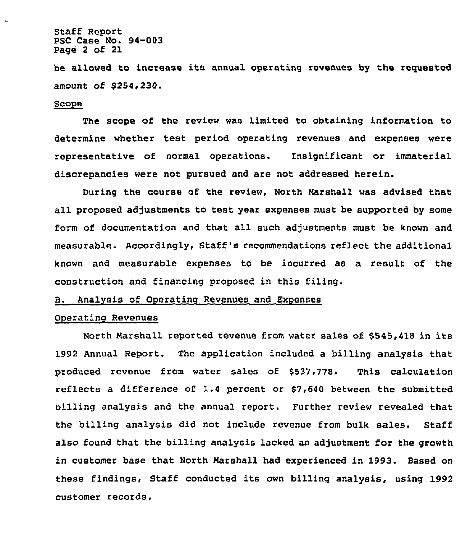## Staff Report PSC Case No. 94-003 Page <sup>2</sup> of 21

be allowed to increase its annual operating revenues by the requested amount of \$254,230.

#### Scope

The scope of the review was limited to obtaining information to determine whether test period operating revenues and expenses were representative of normal operations. Insignificant or immaterial discrepancies were not pursued and are not addressed herein.

During the course of the review, North Narshall was advised that all proposed adjustments to test year expenses must be supported by some form of documentation and that all such adjustments must be known and measurable. Accordingly, Staff's recommendations reflect the additional known and measurable expenses to be incurred as a result of the construction and financing proposed in this filing.

# B. Analysis of Operating Revenues and Expenses

## Operating Revenues

North Marshall reported revenue from water sales of \$545,418 in its 1992 Annual Report. The application included a billing analysis that produced revenue from water sales of \$537,778. This calculation reflects a difference of 1.4 percent or \$7,640 between the submitted billing analysis and the annual report. Further review revealed that the billing analysis did not include revenue from bulk sales. Staff also found that the billing analysis lacked an adjustment for the growth in customer base that North Marshall had experienced in 1993. Based on these findings, Staff conducted its own billing analysis, using 1992 customer records.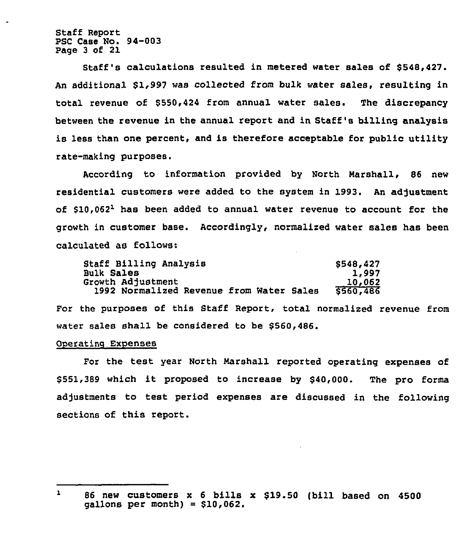Staff Report PSC Case No. 94-003 Page 3 of 21

Staff's calculations resulted in metered water sales of \$548,427. An additional \$1,997 was collected from bulk water sales, resulting in total revenue of \$550,424 from annual water sales. The discrepancy between the revenue in the annual report and in Staff's billing analysis is less than one percent, and is therefore acceptable for public utility rate-making purposes.

According to information provided by North Narshall, 86 new residential customers were added to the system in 1993. An adjustment of  $$10,062<sup>1</sup>$  has been added to annual water revenue to account for the growth in customer base. Accordingly, normalired water sales has been calculated as follows:

| Staff Billing Analysis                   | \$548,427 |
|------------------------------------------|-----------|
| <b>Bulk Sales</b>                        | 1,997     |
| Growth Adjustment                        | 10,062    |
| 1992 Normalized Revenue from Water Sales | \$560,486 |

For the purposes of this Staff Report, total normalized revenue from water sales shall be considered to be \$560,486.

#### Onerating Expenses

For the test year North Narshall reported operating expenses of \$ 551,389 which it proposed to increase by \$40,000. The pro forms adjustments to test period expenses are discussed in the following sections of this report.

 $\mathbf{1}$ <sup>86</sup> new customers <sup>x</sup> <sup>6</sup> bills x \$19.50 (bill based on 4500  $qallons per month) = $10,062.$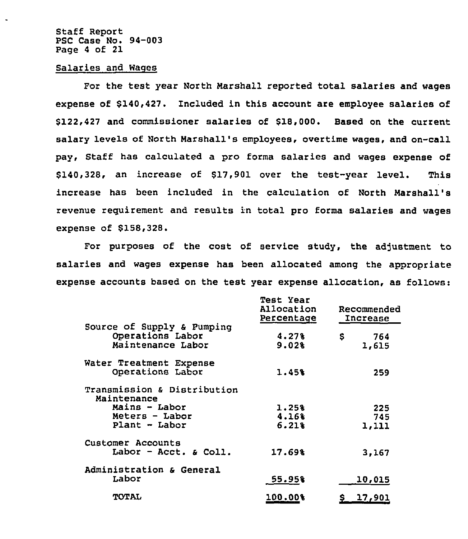Staff Report PSC Case No. 94-003 Page <sup>4</sup> of 21

#### Salaries and Wages

For the test year North Marshall reported total salaries and wages expense of \$140,427. Included in this account are employee salaries of \$122,427 and commissioner salaries of \$18,000. Based on the current salary levels of North Marshall's employees, overtime wages, and on-call pay, Staff has calculated a pro forma salaries and wages expense of \$140,328, an increase of \$17,901 over the test-year level. This increase has been included in the calculation of North Marshall's revenue requirement and results in total pro forms salaries and wages expense of \$158,328.

For purposes of the cost of service study, the adjustment to salaries and wages expense has been allocated among the appropriate expense accounts based on the test year expense allocation, as follows:

|                                            | <b>Test Year</b><br>Allocation<br>Percentage | Recommended<br>Increase |  |
|--------------------------------------------|----------------------------------------------|-------------------------|--|
| Source of Supply & Pumping                 |                                              |                         |  |
| Operations Labor                           | 4.27%                                        | s<br>764                |  |
| Maintenance Labor                          | 9.02%                                        | 1,615                   |  |
| Water Treatment Expense                    |                                              |                         |  |
| Operations Labor                           | 1.45%                                        | 259                     |  |
| Transmission & Distribution<br>Maintenance |                                              |                         |  |
| Mains - Labor                              | 1.25%                                        | 225                     |  |
| Meters - Labor                             | 4.16%                                        | 745                     |  |
| Plant - Labor                              | 6.21%                                        | 1,111                   |  |
| Customer Accounts                          |                                              |                         |  |
| Labor - Acct. $\epsilon$ Coll.             | 17.69%                                       | 3,167                   |  |
| Administration & General                   |                                              |                         |  |
| Labor                                      | 55.95%                                       | 10,015                  |  |
| <b>TOTAL</b>                               | 100.00%                                      | <u>17,901</u><br>S.     |  |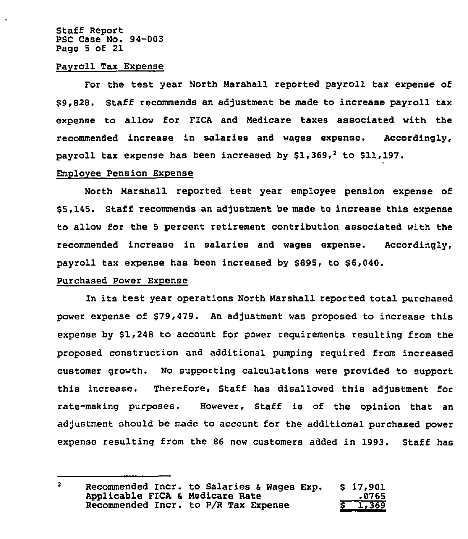Staff Report PSC Case No. 94-003 Page <sup>5</sup> of 21

#### Payroll Tax Expense

For the test year North Marshall reported payroll tax expense of \$ 9,828. Staff recommends an adjustment be made to increase payroll tax expense to allow for FICA and Medicare taxes associated with the recommended increase in salaries and wages expense. Accordingly, payroll tax expense has been increased by  $$1,369,^2$  to  $$11,197$ .

#### Emoloyee Pension Expense

North Marshall reported test year employee pension expense of \$5,145. Staff recommends an adjustment be made to increase this expense to allow for the <sup>5</sup> percent retirement contribution associated with the recommended increase in salaries and wages expense. Accordingly, payroll tax expense has been increased by \$895, to \$6,040.

## Purchased Power ExPense

In its test year operations North Marshall reported total purchased power expense of \$79,479. An adjustment was proposed to increase this expense by \$1,248 to account for power requirements resulting from the proposed construction and additional pumping required from increased customer growth. No supporting calculations were provided to support this increase. Therefore, Staff has disallowed this adjustment for rate-making purposes. However, Staff is of the opinion that an adjustment should be made to account for the additional purchased power expense resulting from the 86 new customers added in 1993. Staff has

| Recommended Incr. to Salaries & Wages Exp. | \$17,901    |
|--------------------------------------------|-------------|
| Applicable FICA & Medicare Rate            | .0765       |
| Recommended Incr. to P/R Tax Expense       | $5 - 1,369$ |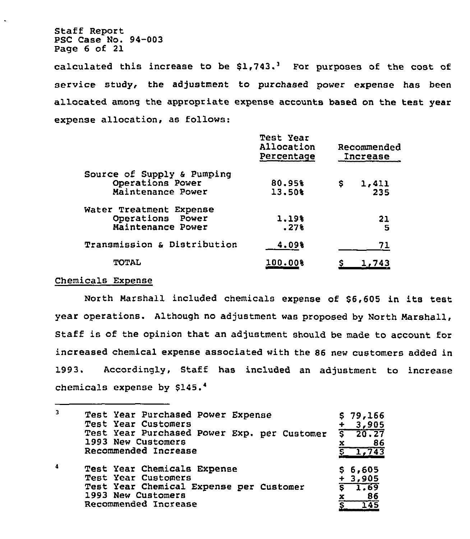Staff Report PSC Case No. 94-003 Page 6 of 21

 $\ddot{\phantom{0}}$ 

calculated this increase to be  $$1,743.^3$  For purposes of the cost of service study, the adjustment to purchased power expense has been allocated among the appropriate expense accounts based on the test year expense allocation, as follows:

|                                       | Test Year<br>Allocation<br>Percentage | Recommended<br>Increase |  |
|---------------------------------------|---------------------------------------|-------------------------|--|
| Source of Supply & Pumping            |                                       |                         |  |
| Operations Power<br>Maintenance Power | 80.95%<br>13.50%                      | \$<br>1,411<br>235      |  |
| Water Treatment Expense               |                                       |                         |  |
| Operations Power                      | 1.19%                                 | 21                      |  |
| Maintenance Power                     | .27%                                  | -5                      |  |
| Transmission & Distribution           | 4.09%                                 | 71                      |  |
| <b>TOTAL</b>                          | 100.00%                               | 1,743                   |  |

#### Chemicals Expense

North Marshall included chemicals expense of \$6,605 in its test year operations. Although no adjustment was proposed by North Marshall, Staff is of the opinion that an adjustment should be made to account for increased chemical expense associated with the 86 new customers added in 1993. Accordingly, Staff has included an adjustment to increase chemicals expense by  $$145.^4$ 

| $\overline{\mathbf{3}}$ | Test Year Purchased Power Expense<br>Test Year Customers                                                                                    | \$79,166<br>3,905                                   |
|-------------------------|---------------------------------------------------------------------------------------------------------------------------------------------|-----------------------------------------------------|
|                         | Test Year Purchased Power Exp. per Customer<br>1993 New Customers                                                                           | $\sqrt{20.27}$<br>86<br>x                           |
|                         | Recommended Increase                                                                                                                        | 1,743                                               |
| $\boldsymbol{A}$        | Test Year Chemicals Expense<br>Test Year Customers<br>Test Year Chemical Expense per Customer<br>1993 New Customers<br>Recommended Increase | \$6,605<br>$+3,905$<br>$5 - 1.69$<br>86<br>x<br>145 |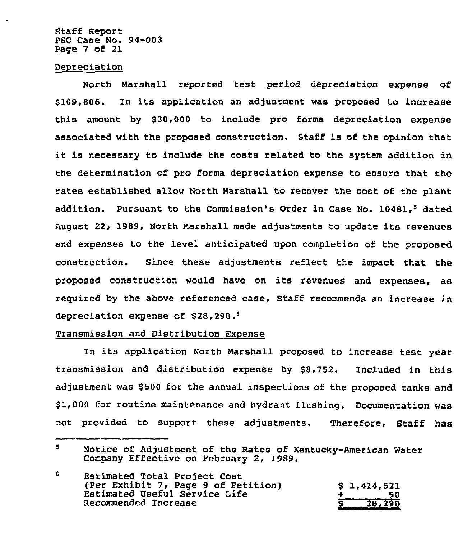Staff Report PSC Case No. 94-003 Page 7 of 21

#### Depreciation

North Marshall reported test period depreciation expense of \$109,806. In its application an adjustment was proposed to increase this amount by \$30,000 to include pro forma depreciation expense associated with the proposed construction. Staff is of the opinion that it is necessary to include the costs related to the system addition in the determination of pro forma depreciation expense to ensure that the rates established allow North Marshall to recover the cost of the plant addition. Pursuant to the Commission's Order in Case No. 10481.<sup>5</sup> dated August 22, 1989, North Marshall made adjustments to update its revenues and expenses to the level anticipated upon completion of the proposed construction. Since these adjustments reflect the impact that the proposed construction would have on its revenues and expenses, as required by the above referenced case, Staff recommends an increase in depreciation expense of \$28,290.<sup>6</sup>

#### Transmission and Distribution Expense

In its application North Marshall proposed to increase test year transmission and distribution expense by \$8,752. Included in this adjustment was \$500 for the annual inspections of the proposed tanks and \$ 1,000 for routine maintenance and hydrant flushing. Documentation was not provided to support these adjustments. Therefore, Staff has

 $\overline{\mathbf{S}}$ Notice of Adjustment of the Rates of Kentucky-American Water Company Effective on February 2, 1989.

<sup>6</sup> Estimated Total Project Cost (Per Exhibit 7, Page 9 of Petition)  $$ 1,414,521$ Estimated Vseful Service Life + 50 Recommended Increase 28,290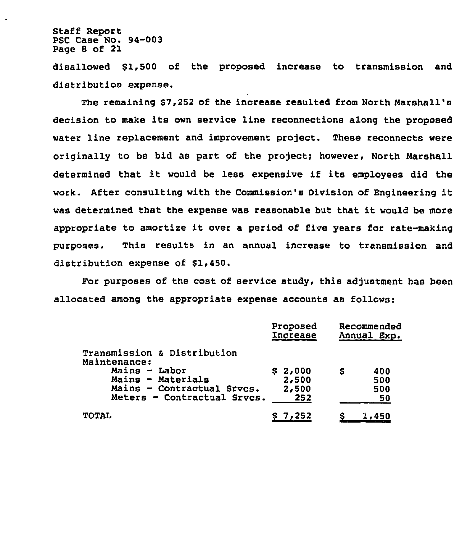Staff Report PSC Case Mo. 94-003 Page 8 of 21

 $\ddot{\phantom{a}}$ 

disallowed \$1,500 of the proposed increase to transmission and distribution expense.

The remaining \$7,252 of the increase resulted from North Narshall's decision to make its own service line reconnections along the proposed water line replacement and improvement project. These reconnects were originally to be bid as part of the project; however, North Marshall determined that it would be less expensive if its employees did the work. After consulting with the Commission's Division of Engineering it was determined that the expense was reasonable but that it would be more appropriate to amortize it over <sup>a</sup> period of five years for rate-making purposes. This results in an annual increase to transmission and distribution expense of  $$1,450.$ 

Por purposes of the cost of service study, this adjustment has been allocated among the appropriate expense accounts as follows:

|                                             | Proposed<br>Increase | Recommended<br>Annual<br>Exp. |
|---------------------------------------------|----------------------|-------------------------------|
| Transmission & Distribution<br>Maintenance: |                      |                               |
| Mains - Labor                               | \$2,000              | 400<br>s                      |
| Mains - Materials                           | 2,500                | 500                           |
| Mains - Contractual Srvcs.                  | 2,500                | 500                           |
| Meters - Contractual Srvcs.                 | 252                  | 50                            |
| <b>TOTAL</b>                                | S 7,252              |                               |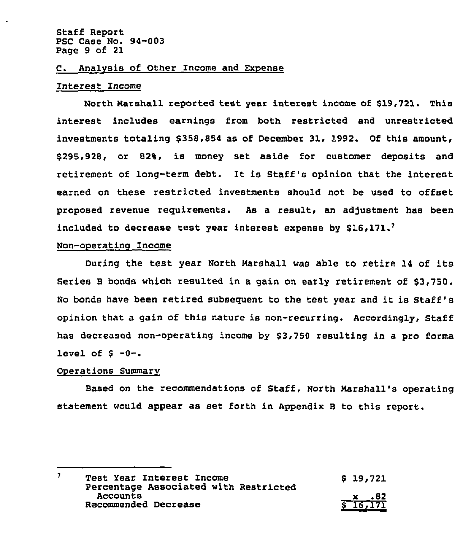#### C. AnalVsis of Other Income and Expense

#### Interest Income

North marshall reported test year interest income of \$19,721. This interest includes earnings from both restricted and unrestricted investments totaling \$358,854 as of December 31, 1992. Of this amount, \$295,928, or 82%, is money set aside for customer deposits and retirement of long-term debt. It is Staff's opinion that the interest earned on these restricted investments should not be used to offset proposed revenue reguirements. As a result, an adjustment has been included to decrease test year interest expense by  $$16,171.^7$ 

#### Non-operatinq Income

During the test year North Narshall was able to retire <sup>14</sup> of its Series B bonds which resulted in a gain on early retirement of \$3,750. No bonds have been retired subsequent to the test year and it is Staff's opinion that a gain of this nature is non-recurring. Accordingly, Staff has decreased non-operating income by \$3,750 resulting in a pro forms level of  $$ -0-.$ 

#### Operations Summary

Based on the recommendations of Staff, North Marshall's operating statement would appear as set forth in Appendix <sup>B</sup> to this report.

 $\overline{7}$ Test Year Interest Income  $$ 19,721$ Percentage Associated with Restricted Accounts x .82 Recommended Decrease 16i171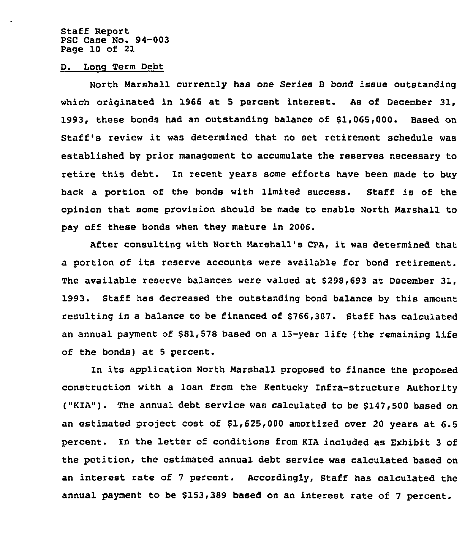Staff Report PSC Case No. 94-003 Page 10 of 21

D. Long Term Debt

North Marshall currently has one Series B bond issue outstanding which originated in 1966 at <sup>5</sup> percent interest. As of December 31, 1993, these bonds had an outstanding balance of \$1,065,000. Based on Staff's review it was determined that no set retirement schedule was established by prior management to accumulate the reserves necessary to retire this debt. In recent years some efforts have been made to buy back a portion of the bonds with limited success. Staff is of the opinion that some provision should be made to enable North Marshall to pay off these bonds when they mature in 2006.

After consulting with North Marshall's CPA, it was determined that a portion of its reserve accounts were available for bond retirement. The available reserve balances were valued at \$298,693 at December 31, 1993. Staff has decreased the outstanding bond balance by this amount resulting in a balance to be financed of \$766,307. Staff has calculated an annual payment of \$81,578 based on a 13-year life (the remaining life of the bonds) at <sup>5</sup> percent.

In its application North Marshall proposed to finance the proposed construction with a loan from the Kentucky Infra-structure Authority ("KIA"). The annual debt service was calculated to be \$147,500 based on an estimated project cost of \$1,625,000 amortized over 20 years at 6.5 percent. In the letter of conditions from KIA included as Exhibit 3 of the petition, the estimated annual debt service was calculated based on an interest rate of <sup>7</sup> percent. Accordingly, Staff has calculated the annual payment to be \$153.389 based on an interest rate of <sup>7</sup> percent.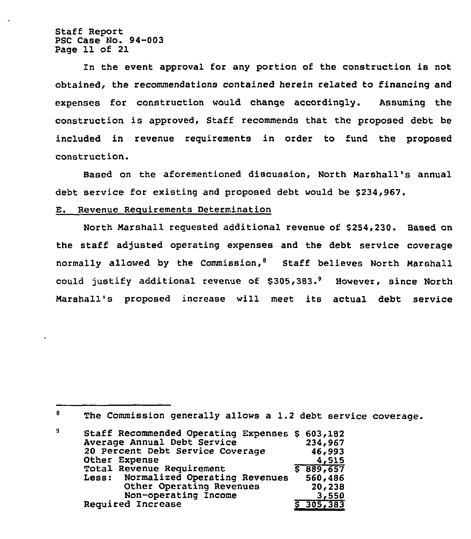Staff Report PSC Case No. 94-003 Page 11 of 21

ln the event approval for any portion of the construction is not obtained, the recommendations contained herein related to financing and expenses for construction would change accordingly. Assuming the construction is approved, Staff recommends that the proposed debt be included in revenue requirements in order to fund the proposed construction.

Based on the aforementioned discussion, North Marshall's annual debt service for existing and proposed debt would be \$234,967.

#### E. Revenue Requirements Determination

North Marshall requested additional revenue of \$254,230. Based on the staff adjusted operating expenses and the debt service coverage normally allowed by the Commission, $\theta$  Staff believes North Marshall could justify additional revenue of 5305,383. However, since North Marshall's proposed increase will meet its actual debt service

 $\theta$ The Commission generally allows a 1.2 debt service coverage.

Staff Recommended Operating Expenses \$ 603,182 9 Average Annual Debt Service 234,967 20 Percent Debt Service Coverage 46,993 Other Expense 4,515 Total Revenue Requirement  $$889,657$ Normalized Operating Revenues 560,486 Other Operating Revenues 20,238 Non-operating Income 3,550 Required Increase 8 305,383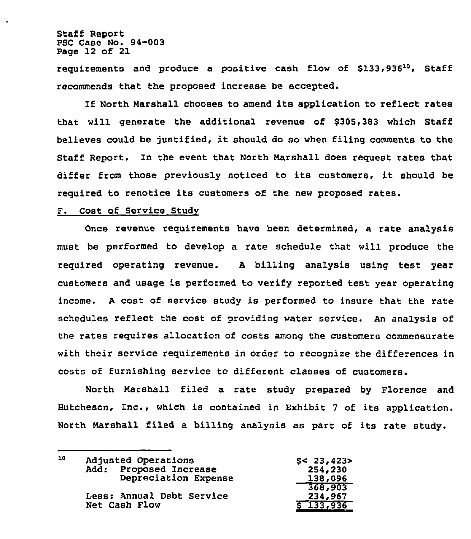Staff Report PSC Case No. 94-003 Page 12 of 21

requirements and produce a positive cash flow of  $$133.936^{10}$ . Staff recommends that the proposed increase be accepted.

If North Marshall chooses to amend its application to reflect rates that will generate the additional revenue of \$305,383 which Staff believes could be justified, it should do so when filing comments to the Staff Report. Zn the event that North Narshall does request rates that differ from those previously noticed to its customers, it should be required to renotice its customers of the new proposed rates.

#### F. Cost of Service Study

Once revenue requirements have been determined, a rate analysis must be performed to develop a rate schedule that will produce the required operating revenue. <sup>A</sup> billing analysis using test year customers and usage is performed to verify reported test year operating income. <sup>A</sup> cost of service study is performed to insure that the rate schedules reflect the cost of providing water service. An analysis of the rates requires allocation of costs among the customers commensurate with their service requirements in order to recognize the differences in costs of furnishing service to different classes of customers.

North Marshall filed a rate study prepared by Florence and Hutcheson, Znc., which is contained in Exhibit <sup>7</sup> of its application. North Marshall filed a billing analysis as part of its rate study.

| 10 | Adjusted Operations       | \$< 23,423>   |
|----|---------------------------|---------------|
|    | Add: Proposed Increase    | 254,230       |
|    | Depreciation Expense      | 138,096       |
|    |                           | 368,903       |
|    | Less: Annual Debt Service | 234,967       |
|    | Net Cash Flow             | $5 - 133,936$ |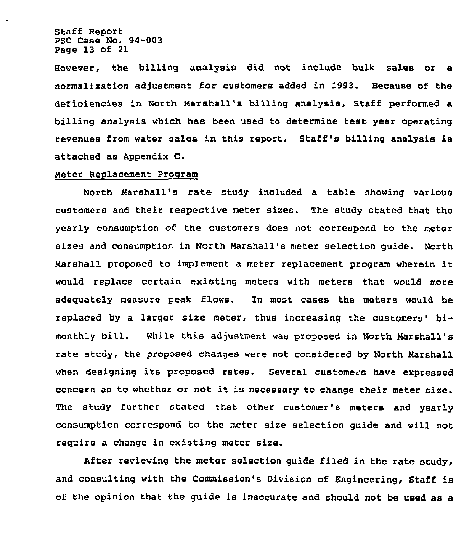Staff Report PSC Case No. 94-003 Page 13 of 21

However, the billing analysis did not include bulk sales or a normalization adjustment for customers added in 1993. Because of the deficiencies in North Marshall's billing analysis, Staff performed a billing analysis which has been used to determine test year operating revenues from water sales in this report. Staff's billing analysis is attached as Appendix C.

## Meter Replacement Program

North Marshall's rate study included a table showing various customers and their respective meter sizes. The study stated that the yearly consumption of the customers does not correspond to the meter sizes and consumption in North Marshall's meter selection guide. North Marshall proposed to implement <sup>a</sup> meter replacement program wherein it would replace certain existing meters with meters that would more adequately measure peak flows. In most cases the meters would be replaced by a larger size meter, thus increasing the customers' bimonthly bill. While this adjustment was proposed in North Marshall's rate study, the proposed changes were not considered by North Marshall when designing its proposed rates. Several customers have expressed concern as to whether or not it is necessary to change their meter size. The study further stated that other customer's meters and yearly consumption correspond to the meter size selection guide and will not require a change in existing meter size.

After reviewing the meter selection guide filed in the rate study, and consulting with the Commission's Division of Engineering, Staff is of the opinion that the guide is inaccurate and should not be used as a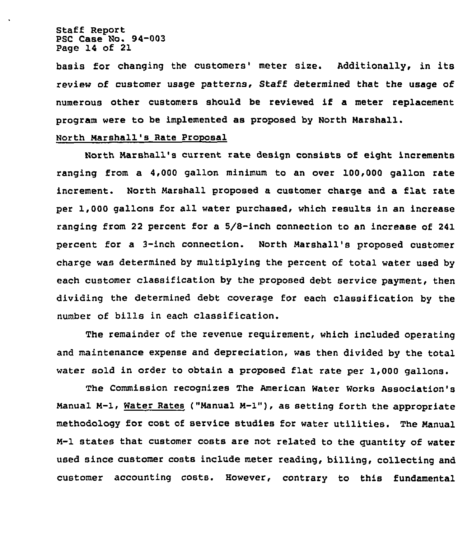Staff Report PSC Case No. 94-003 Page 14 of 21

basis for changing the customers' meter size. Additionally, in its review of customer usage pattexns, Staff determined that the usage of numerous other customers should be reviewed if a meter replacement program were to be implemented as proposed by North Marshall.

#### North Marshall's Rate Proposal

North Marshall's current rate design consists of eight increments ranging from a 4,000 gallon minimum to an over 100,000 gallon rate increment. North Marshall proposed a customer charge and a flat rate per 1,000 gallons for all water purchased, which results in an increase ranging from 22 percent for a 5/8-inch connection to an increase of 241 percent for a 3-inch connection. North Marshall's proposed customer charge was determined by multiplying the percent of total water used by each customer classification by the proposed debt service payment, then dividing the determined debt coverage for each classification by the number of bills in each classification.

The remainder of the revenue requirement, which included operating and maintenance expense and depreciation, was then divided by the total water sold in order to obtain a proposed flat rate per 1,000 gallons.

The Commission recognizes The American Water Works Association's Manual M-1, Water Rates ("Manual M-1"), as setting forth the appropriate methodology for cost of service studies for water utilities. The Manual M-1 states that customer costs are not related to the quantity of water used since customer costs include meter reading, billing, collecting and customer accounting costs. However, contrary to this fundamental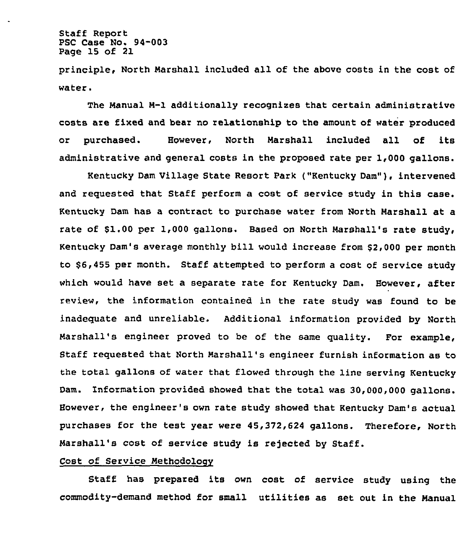Staff Report PSC Case No. 94-003 Page 15 of 21

principle, North Marshall included all of the above costs in the cost of water.

The Manual M-1 additionally recognixes that certain administrative costs are fixed and bear no relationship to the amount of water produced or purchased. However, North Marshall included all of its administrative and general costs in the proposed rate per 1,000 gallons.

Kentucky Dam Village State Resort Park ("Kentucky Dam"), intervened and requested that Staff perform a cost of service study in this case. Kentucky Dam has a contract to purchase water from North Marshall at a rate of \$1.00 per 1,000 gallons. Based on North Marshall's rate study, Kentucky Dam's average monthly bill would increase from \$2,000 per month to \$6,455 per month. Staff attempted to perform a cost of service study which would have set a separate rate for Kentucky Dam. However, after review, the information contained in the rate study was found to be inadequate and unreliable. Additional information provided by North Marshall's engineer proved to be of the same quality. For example, Staff requested that North Marshall's engineer furnish information as to the total gallons of water that flowed through the line serving Kentucky Dam. Information provided showed that the total was 30,000,000 gallons. However, the engineer's own rate study showed that Kentucky Dam's actual purchases for the test year were 45,372,624 gallons. Therefore, North Marshall's cost of service study is rejected by Staff.

#### Cost of Service Methodology

Staff has prepared its own cost of service study using the commodity-demand method for small utilities as set out in the Manual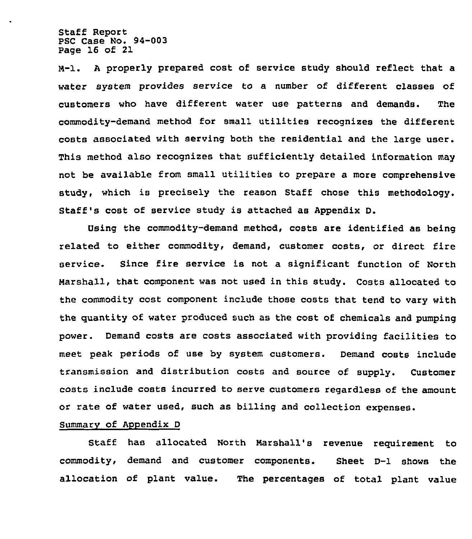Staff Report PSC Case No. 94-003 Page 16 of 21

M-1. <sup>A</sup> properly prepared cost of service study should reflect that a water system provides service to a number of different classes of customers who have different water use patterns and demands. The commodity-demand method for small utilities recognizes the different costs associated with serving both the residential and the large user. This method also recognizes that sufficiently detailed information may not be available from small utilities to prepare a more comprehensive study, which is precisely the reason Staff chose this methodology. Staff's cost of service study is attached as Appendix D.

Using the commodity-demand method, costs are identified as being related to either commodity< demand, customer costs, or direct fire service. Since fire service is not a significant function of North Marshall, that component was not used in this study. Costs allocated to the commodity cost component include those costs that tend to vary with the quantity of water produced such as the cost of chemicals and pumping power. Demand costs are costs associated with providing facilities to meet peak periods of use by system customers. Demand costs include transmission and distribution costs and source of supply. Customer costs include costs incurred to serve customers regardless of the amount or rate of water used, such as billing and collection expenses.

#### SummarV of Appendix <sup>D</sup>

Staff has allocated North Marshall's revenue requirement to commodity, demand and customer components. Sheet D-1 shows the allocation of plant value. The percentages of total plant value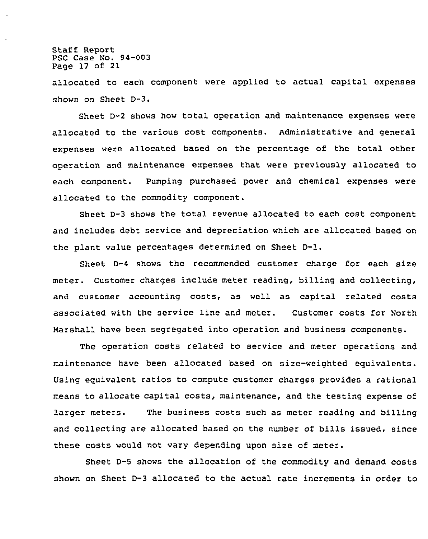Staff Report PSC Case No. 94-003 Page 17 of 21

allocated to each component were applied to actual capital expenses shown on Sheet D-3.

Sheet D-2 shows how total operation and maintenance expenses were allocated to the various cost components. Administrative and general expenses were allocated based on the percentage of the total other operation and maintenance expenses that were previously allocated to each component. Pumping purchased power and chemical expenses were allocated to the commodity component.

Sheet D-3 shows the total revenue allocated to each cost component and includes debt service and depreciation which are allocated based on the plant value percentages determined on Sheet D-l.

Sheet  $D-4$  shows the recommended customer charge for each size meter. Customer charges include meter reading, billing and collecting, and customer accounting costs, as well as capital related costs associated with the service line and meter. Customer costs for North Marshall have been segregated into operation and business components.

The operation costs related to service and meter operations and maintenance have been allocated based on size-weighted equivalents. Using equivalent ratios to compute customer charges provides a rational means to allocate capital costs, maintenance, and the testing expense of larger meters. The business costs such as meter reading and billing and collecting are allocated based on the number of bills issued, since these costs would not vary depending upon size of meter.

Sheet D-5 shows the allocation of the commodity and demand costs shown on Sheet D-3 allocated to the actual rate increments in order to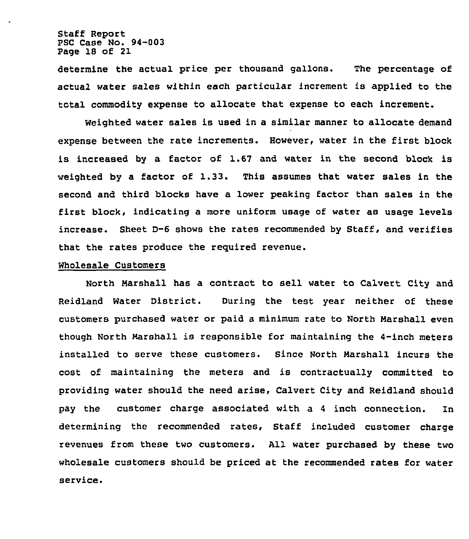Staff Report PSC Case No. 94-003 Page 18 of 21

determine the actual price per thousand gallons. The percentage of actual water sales within each particular increment is applied to the total commodity expense to allocate that expense to each increment.

weighted water sales is used in a similar manner to allocate demand expense between the rate increments. However, water in the first block is increased by a factor of 1.67 and water in the second block is weighted by <sup>a</sup> factor of 1.33. This assumes that water sales in the second and third blocks have a lower peaking factor than sales in the first block, indicating a more uniform usage of water as usage levels increase. Sheet D-6 shows the rates recommended by Staff, and verifies that the rates produce the required revenue.

#### Wholesale Customers

North Marshall has a contract to sell water to Calvert City and Reidland Water District. During the test year neither of these customers purchased water or paid a minimum rate to North Marshall even though North Marshall is responsible for maintaining the 4-inch meters installed to serve these customers. Since North Marshall incurs the cost of maintaining the meters and is contractually committed to providing water should the need arise, Calvert City and Reidland should pay the customer charge associated with a <sup>4</sup> inch connection. In determining the recommended rates, Staff included customer charge revenues from these two customers. All water purchased by these two wholesale customers should be priced at the recommended rates for water service.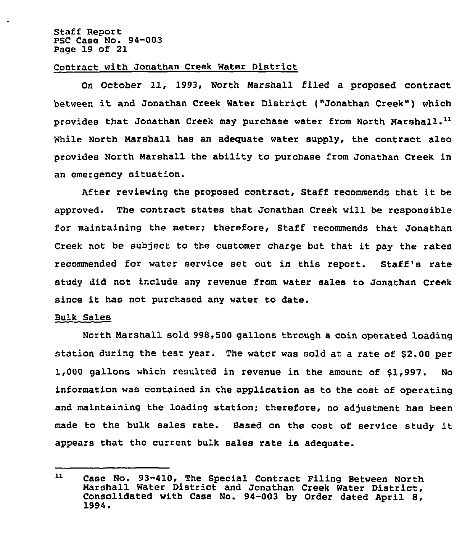Staff Report PSC Case No. 94-003 Page 19 of 21

#### Contract with Jonathan Creek Water District

On October ll, 1993, North Marshall filed <sup>a</sup> proposed contract between it and Jonathan Creek Water District ("Jonathan Creek") which provides that Jonathan Creek may purchase water from North Marshall. $^{11}$ While North Marshall has an adequate water supply, the contract also provides North Marshall the ability to purchase from Jonathan Creek in an emergency situation.

After reviewing the proposed contract, Staff recommends that it be approved. The contract states that Jonathan Creek will be responsible for maintaining the meter; therefore, Staff recommends that Jonathan Creek not be subject to the customer charge but that it pay the rates recommended for water service set out in this report. Staff 's rate study did not include any revenue from water sales to Jonathan Creek since it has not purchased any water to date.

#### Bulk Sales

North Marshall sold 998,500 gallons through a coin operated loading station during the test year. The water was sold at <sup>a</sup> rate of \$2.00 per 1,000 gallons which resulted in revenue in the amount of \$1,997. No information was contained in the application as to the cost of operating and maintaining the loading station; therefore, no adjustment has been made to the bulk sales rate. Based on the cost of service study it appears that the current bulk sales rate is adequate.

 $11$ Case No. 93-410, The Special Contract Filing Between North Marshall Water District and Jonathan Creek Water District, Consolidated with Case No. 94-003 by Order dated April 8, 1994.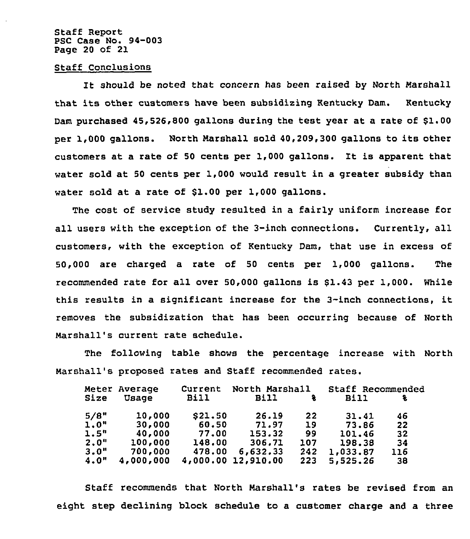#### Staff Report PSC Case No. 94-003 Page 20 of 21

#### Staff Conclusions

It should be noted that concern has been raised by North Marshall that its other customers have been subsidizing Kentucky Dam. Kentucky Dam purchased 45,526,800 gallons during the test year at a rate of \$1.00 per 1,000 gallons. North Marshall sold 40,209,300 gallons to its other customers at <sup>a</sup> rate of <sup>50</sup> cents per 1,000 gallons. It is apparent that water sold at 50 cents per 1,000 would result in a greater subsidy than water sold at a rate of 81.00 per 1,000 gallons.

The cost of service study resulted in a fairly uniform increase for all users with the exception of the 3-inch connections. Currently, all customers, with the exception of Kentucky Dam, that use in excess of 50,000 are charged a rate of 50 cents per 1,000 gallons. The recommended rate for all over 50,000 gallons is 81.43 per 1,000. While this results in a significant increase for the 3-inch connections, it removes the subsidization that has been occurring because of North Marshall's current rate schedule.

The following table shows the percentage increase with North Marshall's proposed rates and Staff recommended rates.

|      | Meter Average | Current  | North Marshall |     | Staff Recommended |     |
|------|---------------|----------|----------------|-----|-------------------|-----|
| Size | Usage         | Bill     | <b>Bill</b>    | 동   | Bill              | ÷   |
| 5/8" | 10,000        | \$21.50  | 26.19          | 22  | 31.41             | 46  |
| 1.0" | 30,000        | 60.50    | 71.97          | 19  | 73.86             | 22  |
| 1.5" | 40,000        | 77.00    | 153.32         | 99  | 101.46            | 32  |
| 2.0" | 100,000       | 148.00   | 306.71         | 107 | 198.38            | 34  |
| 3.0" | 700,000       | 478.00   | 6,632.33       | 242 | 1,033.87          | 116 |
| 4.0" | 4,000,000     | 4,000.00 | 12,910.00      | 223 | 5,525.26          | 38  |

Staff recommends that North Marshall's rates be revised from an eight step declining block schedule to a customer charge and a three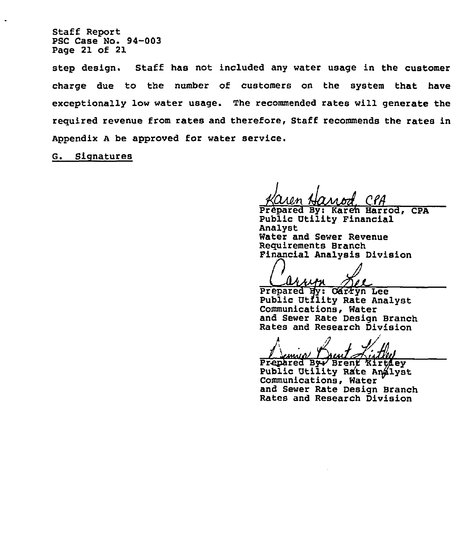Staff Report PSC Case No. 94-003 Page 21 of 21

step design. Staff has not included any water usage in the customer charge due to the number of customers on the system that have exceptionally low water usage. The recommended rates will generate the required revenue from rates and therefore, Staff recommends the rates in Appendix <sup>A</sup> be approved for water service.

G. Signatures

Prepared By: Karen Harrod, CPA Public Utility Financial Analyst Water and Sewer Revenue<br>Requirements Branch Financial Analysis Division

arrin 17 F

Prepared By: Carryn Lee<br>Public Utflity Rate Analyst Communications, Water and Sewer Rate Design Branch Rates and Research Division

אמנגוע

Prepared By Brent Kirtley<br>Public Utility Rate Analyst Communications, Water and Sewer Rate Design Branch Rates and Research Division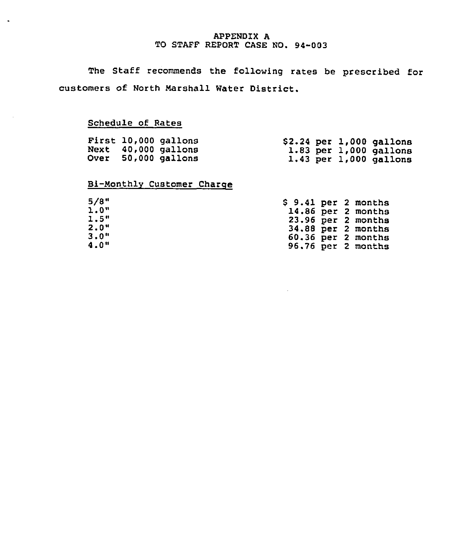#### APPENDIX A TO STAFF REPORT CASE NO. 94-003

The Staff recommends the following rates be prescribed for customers of North Marshall Water District.

# Schedule of Rates

 $\bullet$ 

|  | First 10,000 gallons<br>Next 40,000 gallons |  | $$2.24$ per $1,000$ gallons<br>$1.83$ per $1,000$ gallons |
|--|---------------------------------------------|--|-----------------------------------------------------------|
|  | Over 50,000 gallons                         |  | $1.43$ per $1,000$ gallons                                |

# Bi-Monthly Customer Charoe

| 5/8"    |  | $$9.41$ per 2 months |
|---------|--|----------------------|
| 1.0"    |  | 14.86 per 2 months   |
| 1.5"    |  | 23.96 per 2 months   |
| $2.0$ " |  | 34.88 per 2 months   |
| 3.0"    |  | 60.36 per 2 months   |
| 4.0"    |  | 96.76 per 2 months   |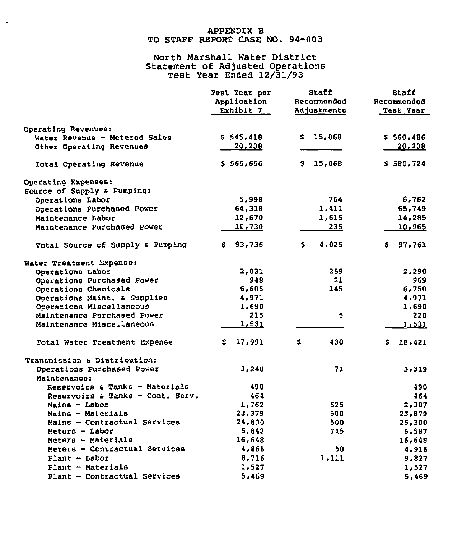## APPENDIX B TO STAFF REPORT CASE NO. 94-003

 $\bar{\phantom{a}}$ 

# North Marshall Water District<br>Statement of Adjusted Operations<br>Test Year Ended 12/31/93

|                                  | Test Year per<br>Application<br>Exhibit 7 | Staff<br>Recommended<br>Adjustments | Staff<br>Recommended<br><b>Test Year</b> |
|----------------------------------|-------------------------------------------|-------------------------------------|------------------------------------------|
| Operating Revenues:              |                                           |                                     |                                          |
| Water Revenue - Metered Sales    | \$545,418                                 | \$15,068                            | \$560,486                                |
| Other Operating Revenues         | 20, 238                                   |                                     | 20, 238                                  |
| Total Operating Revenue          | \$565,656                                 | \$15,068                            | \$580,724                                |
| Operating Expenses:              |                                           |                                     |                                          |
| Source of Supply & Pumping:      |                                           |                                     |                                          |
| Operations Labor                 | 5,998                                     | 764                                 | 6,762                                    |
| Operations Purchased Power       | 64,338                                    | 1,411                               | 65,749                                   |
| Maintenance Labor                | 12,670                                    | 1,615                               | 14,285                                   |
| Maintenance Purchased Power      | 10,730                                    | 235                                 | 10,965                                   |
| Total Source of Supply & Pumping | \$93,736                                  | S.<br>4,025                         | 97,761<br>s.                             |
| Water Treatment Expense:         |                                           |                                     |                                          |
| Operations Labor                 | 2,031                                     | 259                                 | 2,290                                    |
| Operations Purchased Power       | 948                                       | 21                                  | 969                                      |
| Operations Chemicals             | 6,605                                     | 145                                 | 6,750                                    |
| Operations Maint. & Supplies     | 4,971                                     |                                     | 4,971                                    |
| Operations Miscellaneous         | 1,690                                     |                                     | 1,690                                    |
| Maintenance Purchased Power      | 215                                       | 5                                   | 220                                      |
| Maintenance Miscellaneous        | 1,531                                     |                                     | 1,531                                    |
| Total Water Treatment Expense    | 17,991<br>S.                              | s<br>430                            | 18,421<br>S.                             |
| Transmission & Distribution:     |                                           |                                     |                                          |
| Operations Purchased Power       | 3.248                                     | 71                                  | 3,319                                    |
| Maintenance:                     |                                           |                                     |                                          |
| Reservoirs & Tanks - Materials   | 490                                       |                                     | 490.                                     |
| Reservoirs & Tanks - Cont. Serv. | 464                                       |                                     | 464                                      |
| Mains - Labor                    | 1,762                                     | 625                                 | 2,387                                    |
| Mains - Materials                | 23,379                                    | 500                                 | 23,879                                   |
| Mains - Contractual Services     | 24,800                                    | 500                                 | 25,300                                   |
| Meters - Labor                   | 5,842                                     | 745                                 | 6,587                                    |
| Meters - Materials               | 16,648                                    |                                     | 16,648                                   |
| Meters - Contractual Services    | 4,866                                     | 50                                  | 4,916                                    |
| Plant - Labor                    | 8,716                                     | 1,111                               | 9,827                                    |
| Plant - Materials                | 1,527                                     |                                     | 1,527                                    |
| Plant - Contractual Services     | 5,469                                     |                                     | 5,469                                    |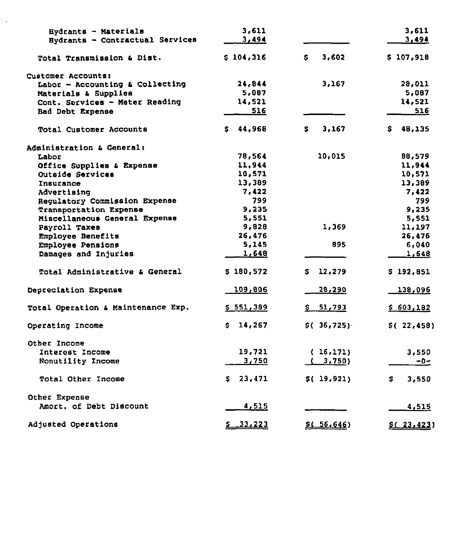| Eydrants - Materials                      | 3.611        |               | 3,611        |
|-------------------------------------------|--------------|---------------|--------------|
| Hydrants - Contractual Services           | 3,494        |               | 3.494        |
| Total Transmission & Dist.                | \$104,316    | 3,602<br>S.   | \$107,918    |
| Customer Accounts:                        |              |               |              |
| Labor - Accounting & Collecting           | 24,844       | 3,167         | 28,011       |
| Materials & Supplies                      | 5,087        |               | 5,087        |
| Cont. Services - Meter Reading            | 14,521       |               | 14,521       |
| Bad Debt Expense                          | 516          |               | 516          |
| <b>Total Customer Accounts</b>            | \$44,968     | 3,167<br>S.   | 48,135<br>S. |
| Administration & General:                 |              |               |              |
| Labor                                     | 78,564       | 10,015        | 88,579       |
| Office Supplies & Expense                 | 11,944       |               | 11,944       |
| Outside Services                          | 10,571       |               | 10,571       |
| Insurance                                 | 13,389       |               | 13,389       |
| Advertising                               | 7,422        |               | 7,422        |
| Regulatory Commission Expense             | 799          |               | 799          |
| <b>Transportation Expense</b>             | 9,235        |               | 9,235        |
| Miscellaneous General Expense             | 5,551        |               | 5,551        |
| Payroll Taxes                             | 9,828        | 1,369         | 11,197       |
| Employee Benefits                         | 26,476       |               | 26,476       |
| Employee Pensions                         | 5,145        | 895           | 6,040        |
| Damages and Injuries                      | 1,648        |               | 1,648        |
| <b>Total Administrative &amp; General</b> | \$180,572    | \$12,279      | \$192,851    |
|                                           |              |               |              |
| Depreciation Expense                      | 109,806      | 28,290        | 138,096      |
| Total Operation & Maintenance Exp.        | \$551,389    | \$ 51,793     | \$603,182    |
| Operating Income                          | \$14,267     | \$(.36, 725)  | \$(.22, 458) |
| Other Income                              |              |               |              |
| Interest Income                           | 19,721       | (16,171)      | 3,550        |
| Nonutility Income                         | 3,750        | (3,750)       | $-0-$        |
| <b>Total Other Income</b>                 | \$23,471     | \$() 19, 921) | S.<br>3,550  |
| Other Expense                             |              |               |              |
| Amort. of Debt Discount                   | 4,515        |               | 4,515        |
| Adjusted Operations                       | $5 - 33.223$ | \$1, 56, 646) | \$ (23.423)  |

 $\Box$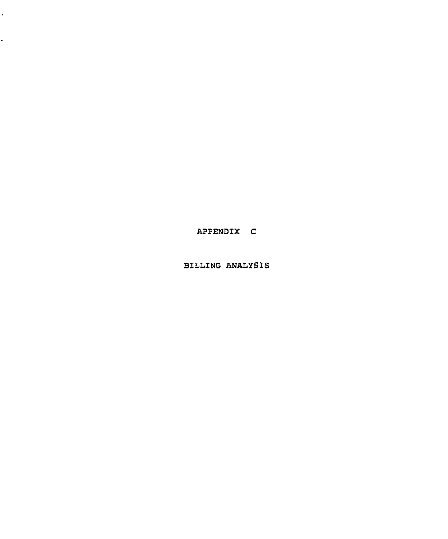APPENDIX C

 $\hat{\mathbf{r}}$ 

÷,

BILLING ANALYSIS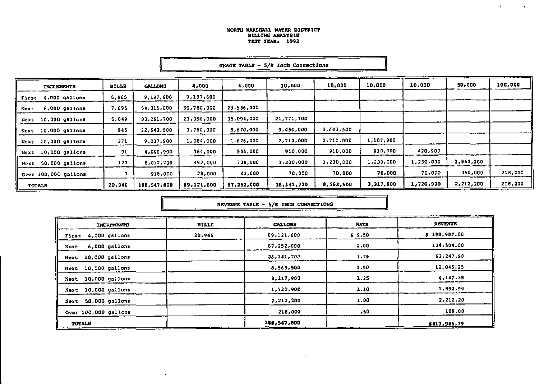$\bullet$ 

 $\sim 10^{-1}$ 

| INCREMENTS             | <b>BILLS</b> | <b>GALLONS</b> | 4,000      | 6,000      | 10,000     | 10,000    | 10,000    | 10,000    | 50,000    | 100,000 |
|------------------------|--------------|----------------|------------|------------|------------|-----------|-----------|-----------|-----------|---------|
| First 4,000 gallons    | 5,965        | 9,197,600      | 9,197,600  |            |            |           |           |           |           |         |
| 6,000 gallons<br>Next  | 7,695        | 54,316,000     | 30,760,000 | 23.536,000 |            |           |           |           |           |         |
| Next 10,000 gallons    | 5,849        | 80.261.700     | 23,396,000 | 35,094,000 | 21,771,700 |           |           |           |           |         |
| Next 10,000 gallons    | 945          | 22,543,500     | 3,760,000  | 5,670,000  | 9,450,000  | 3,643.500 |           |           |           |         |
| Next 10,000 gallons    | 271          | 9.237.900      | 1,084.000  | 1,626,000  | 2,710,000  | 2,710.000 | 1,107,900 |           |           |         |
| Next 10,000 gallons    | 91           | 4,060,900      | 364,000    | 546,000    | 910.000    | 910.000   | 910.000   | 420,900   |           |         |
| 50,000 gallons<br>Next | 123          | 8.012.200      | 492,000    | 738,000    | 1,230,000  | 1,230.000 | 1,230.000 | 1,230,000 | 1,862,200 |         |
| Over 100,000 gallons   |              | 918,000        | 28,000     | 42,000     | 70.000     | 70.000    | 70,000    | 70,000    | 350,000   | 218,000 |
| <b>TOTALS</b>          | 20,946       | 168,547,000    | 69,121,600 | 67,252,000 | 36,141,700 | 6,563,500 | 3,317,900 | 1,720,900 | 2,212,200 | 218,000 |

USAGE TABLE -  $5/8$  Inch Connections

REVENUE TABLE - 5/8 INCE CONNECTIONS

| INCREMENTS             | <b>BILLS</b> | <b>CALLONS</b> | <b>RATE</b> | <b>REVENUE</b> |
|------------------------|--------------|----------------|-------------|----------------|
| First 4,000 gallons    | 20,946       | 69,121,600     | \$9.50      | \$198,987.00   |
| 6,000 gallons<br>Next  |              | 67,252,000     | 2.00        | 134,504.00     |
| Next 10,000 gallons    |              | 36,141.700     | 1.75        | 63.247.98      |
| Next 10,000 gallons    |              | 8,563,500      | 1.50        | 12.845.25      |
| Next 10,000 gallons    |              | 3,317,900      | 1.25        | 4.147.38       |
| Next 10,000 gallons    |              | 1,720,900      | 1.10        | 1.092.99       |
| 50,000 gallons<br>Next |              | 2,212,200      | 1.00        | 2,212.20       |
| Over 100,000 gallons   |              | 218,000        | - 50        | 109.00         |
| <b>TOTALS</b>          |              | 188,547,800    |             | \$417.945.79   |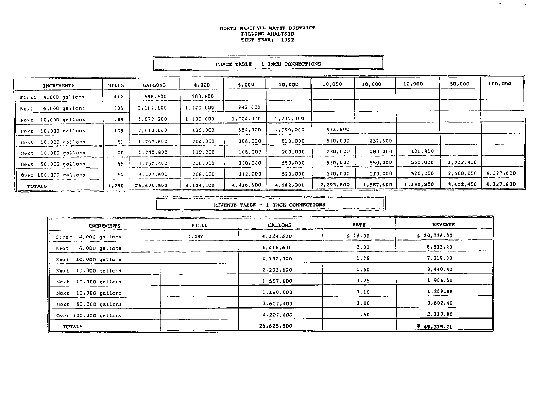<u> 1975 - Andrew Mars Bernson, Amerika</u>

н

| <b>INCREMENTS</b>     | <b>BILLS</b> | <b>CALLONS</b> | 4,000     | 6,000     | 10,000    | 10,000    | 10,000    | 10,000    | 50,000    | 100,000   |
|-----------------------|--------------|----------------|-----------|-----------|-----------|-----------|-----------|-----------|-----------|-----------|
| First 4,000 gallons   | 412          | 588,600        | 588,600   |           |           |           |           |           |           |           |
| 6.000 gallons<br>Next | 305          | 2,162,600      | 1,220,000 | 942,600   |           |           |           |           |           |           |
| Next 10,000 gallons   | 284          | 4,072,300      | 1,136,000 | 1,704,000 | 1,232,300 |           |           |           |           |           |
| Next 10,000 gallons   | 109          | 2,613,600      | 436.000   | 654.000   | 1,090,000 | 433,600   |           |           |           |           |
| Hext 10,000 gallons   | 51           | 1,767,600      | 204.000   | 306,000   | 510,000   | 510,000   | 237,600   |           |           |           |
| Next 10,000 gallons   | 28           | 1,240,800      | 112.000   | 165,000   | 280,000   | 280,000   | 280.000   | 120,800   |           |           |
| Next 50,000 gallons   | 55           | 3,752,400      | 220,000   | 330.000   | 550,000   | 550,000   | 550,000   | 550.000   | 1,002,400 |           |
| Over 100,000 gallons  | 52           | 9,427,600      | 208.000   | 312.000   | 520,000   | 520,000   | 520,000   | 520,000   | 2,600,000 | 4,227,600 |
| TOTALS                | 1.296        | 25,625,500     | 4,124,600 | 4 416,600 | 4,182,300 | 2,293,600 | 1,567,600 | 1,190,800 | 3,602,400 | 4,227,600 |

USAGE TABLE - 1 INCH CONNECTIONS

---

 $\sim$ 

 $\sim 10^{-11}$ 

|                        |              | REVENUE TABLE - 1 INCH CONNECTIONS |                  |                |
|------------------------|--------------|------------------------------------|------------------|----------------|
| <b>INCREMENTS</b>      | <b>BILLS</b> | <b>GALLONS</b>                     | RATE             | <b>REVENUE</b> |
| 4.000 gallons<br>First | 1,296        | 4,124,500                          | \$16.00          | \$20,736.00    |
| 6,000 gallons<br>Next  |              | 4,416,600                          | 2.00             | 8,833.20       |
| Next 10,000 gallons    |              | 4,182,300                          | 1.75             | 7,319.03       |
| Next 10,000 gallons    |              | 2,293,600                          | 1.50             | 3,440.40       |
| Next 10,000 gallons    |              | 1,587,600                          | 1.25             | 1,984.50       |
| Next 10,000 gallons    |              | 1,190,600                          | 1.10             | 1,309.88       |
| 50,000 gallons<br>Next |              | 3,602,400                          | 1.00             | 3,602.40       |
| Over 100,000 gailons   |              | 4,227,600                          | .50 <sub>1</sub> | 2,113.80       |
| <b>TOTALS</b>          |              | 25,625,500                         |                  | \$49,339.21    |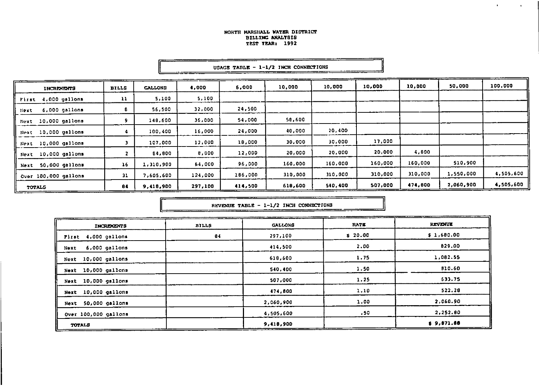$\mathbf{r}$ 

 $\mathbf{A}^{\mathrm{eff}}$ 

|                              |              |                |         | uunuu ampaa |         |         |         |         |           |           |
|------------------------------|--------------|----------------|---------|-------------|---------|---------|---------|---------|-----------|-----------|
| <b>INTRENENTS</b>            | <b>BILLS</b> | <b>GALLONS</b> | 4,000   | 6,000       | 10,000  | 10,000  | 10,000  | 10,000  | 50,000    | 100,000   |
| 4,000 gallons<br>First       | 11           | 5,100          | 5,100   |             |         |         |         |         |           |           |
| 6.000 gallons<br><b>Next</b> | 8            | 56,500         | 32,000  | 24,500      |         |         |         |         |           |           |
| Next 10,000 gallons          | 9.           | 148,600        | 36,000  | 54,000      | 58,600  |         |         |         |           |           |
| Next 10,000 gallons          |              | 100,400        | 16,000  | 24,000      | 40,000  | 20,400  |         |         |           |           |
| Next 10,000 gallons          | э            | 107,000        | 12,000  | 18,000      | 30,000  | 30,000  | 17,000  |         |           |           |
| Next 10,000 gallons          | 2.           | 84,800         | 8,000   | 12,000      | 20,000  | 20,000  | 20,000  | 4,800   |           |           |
| Next 50,000 gallons          | 16           | 1,310,900      | 64,000  | 96,000      | 160,000 | 160,000 | 160,000 | 160,000 | 510,900   |           |
| Over 100,000 gallons         | 31           | 7,605,600      | 124,000 | 186,000     | 310,000 | 310,000 | 310,000 | 310,000 | 1,550,000 | 4,505,600 |
| TOTALS                       | 84           | 9,418,900      | 297,100 | 414,500     | 618,600 | 540,400 | 507,000 | 474,600 | 2,060,900 | 4,505,600 |

#### **BSAGE TABLE - 1-1/2 INCH CONNECTIONS**

REVENUE TABLE - 1-1/2 INCH CONNECTIONS 

--------------

| <b>INCREMENTS</b>       | <b>BILLS</b> | <b>GALLONS</b> | RATE   | REVENUE    |
|-------------------------|--------------|----------------|--------|------------|
| First 4,000 gallons     | 84           | 297,100        | 520.00 | \$1,680.00 |
| $6,000$ gallons<br>Next |              | 414.500        | 2.00   | 829.00     |
| 10,000 gallons<br>Next  |              | 618,600        | 1.75   | 1,082.55   |
| 10,000 gallons<br>Next  |              | 540,400        | 1.50   | 810.60     |
| Next 10,000 gallons     |              | 507.000        | 1.25   | 633.75     |
| 10,000 gallons<br>Next  |              | 474.600        | 1.10   | 522.28     |
| Next 50,000 gallons     |              | 2,060.900      | 1.00   | 2,060.90   |
| Over 100,000 gallons    |              | 4,505,600      | .50    | 2,252.80   |
| TOTALS                  |              | 9,418,900      |        | \$9,671.86 |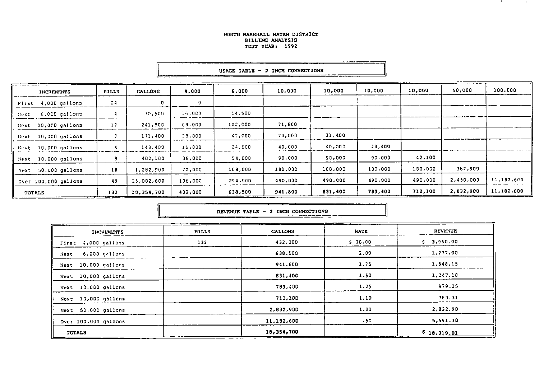\_\_\_\_\_\_

\_\_\_\_\_\_\_

|                        |              |                |         | ujnju indje |         |         |         |         |           |            |
|------------------------|--------------|----------------|---------|-------------|---------|---------|---------|---------|-----------|------------|
| <b>INCREMENTS</b>      | <b>BILLS</b> | <b>GALLONS</b> | 4,000   | 6,000       | 10,000  | 10,000  | 10,000  | 10,000  | 50,000    | 100,000    |
| First 4,000 gallons    | 24           | O              | 0       |             |         |         |         |         |           |            |
| 6,000 gallons<br>Next. |              | 30,500         | 16,000  | 14,500      |         |         |         |         |           |            |
| Hext 10,000 gallons    | 17           | 241,800        | 60,000  | 102,000     | 71,800  |         |         |         |           |            |
| Next 10,000 gallons    |              | 171,400        | 28,000  | 42,000      | 70,000  | 31,400  |         |         |           |            |
| Bext 10,000 gallons    |              | 143,400        | 16,000  | 24,000      | 40,000  | 40,000  | 23,400  |         |           |            |
| Next 10,000 gallons    |              | 402,100        | 36,000  | 54,000      | 90,000  | 90,000  | 90,000  | 42,100  |           |            |
| Next 50,000 gallons    | 1B           | 1,282,900      | 72,000  | 108,000     | 180,000 | 180,000 | 180,000 | 180,000 | 382,900   |            |
| Over 100,000 gallons   | 49           | 16,082,600     | 196,000 | 294,000     | 490,000 | 490,000 | 490,000 | 490,000 | 2,450,000 | 11,182,600 |
| TOTALS                 | 132          | 18,354,700     | 432.000 | 638,500     | 941,800 | 831,400 | 783,400 | 712,100 | 2,832,900 | 11,182,600 |

|  |  | USAGE TABLE - 2 INCH CONNECTIONS |
|--|--|----------------------------------|

\_\_\_\_\_\_\_\_\_\_\_\_

|  |  |  | REVENUE TABLE - 2 INCH CONNECTIONS |  |
|--|--|--|------------------------------------|--|
|  |  |  |                                    |  |

| INCREMENTS             | <b>BILLS</b> | <b>CALLONS</b> | <b>RATE</b> | REVENUE        |
|------------------------|--------------|----------------|-------------|----------------|
| 4,000 gallons<br>First | 132          | 432,000        | \$30.00     | 3,960.00<br>s. |
| 6,000 gallons<br>Next  |              | 638,500        | 2.00        | 1,277.00       |
| Next 10,000 gallons    |              | 941,800        | 1.75        | 1,648.15       |
| 10,000 gallons<br>Next |              | 831,400        | 1.50        | 1,247.10       |
| 10,000 gallons<br>Next |              | 783,400        | 1.25        | 979.25         |
| Next 10,000 gallons    |              | 712,100        | 1.10        | 783.31         |
| 50,000 gallons<br>Next |              | 2,832,900      | 1.00        | 2,832.90       |
| Over 100,000 gallons   |              | 11,192,600     | .50         | 5,591.30       |
| TOTALS                 |              | 18,354,700     |             | \$18,319.01    |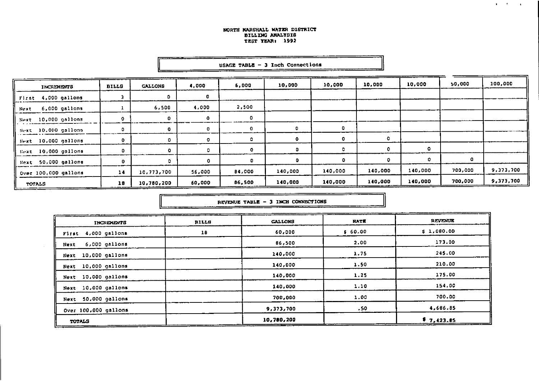$\mathbf{q} = \mathbf{q} \times \mathbf{q}$  ,  $\mathbf{q} = \mathbf{q}$ 

| <b>INCREMENTS</b>     | <b>BILLS</b> | <b>GALLONS</b> | 4,000  | 6,000        | 10,000  | 10,000  | 10,000   | 10,000  | 50,000  | 100,000   |
|-----------------------|--------------|----------------|--------|--------------|---------|---------|----------|---------|---------|-----------|
| First 4,000 gallons   |              | D              | o      |              |         |         |          |         |         |           |
| 6,000 gallons<br>Next |              | 6,500          | 4,000  | 2,500        |         |         |          |         |         |           |
| Next 10,000 gallons   |              | 0              | 0      | 0            |         |         |          |         |         |           |
| Hext 10,000 gallons   |              |                | 0      |              | 0       | 0       |          |         |         |           |
| Next 10,000 gallons   |              |                | 0      | ٥            | 0.      | ۰       | $\Omega$ |         |         |           |
| Bext 10,000 gallons   |              | $\Omega$       | ٥      | $\mathbf{o}$ |         | ٥       |          | o       |         |           |
| Next 50,000 gallons   |              |                |        | $\circ$      | n       | ٥       | n        | o       |         |           |
| Over 100,000 gallons  | 14           | 10,773,700     | 56,000 | 84,000       | 140,000 | 140,000 | 140,000  | 140,000 | 700,000 | 9,373,700 |
| TOTALS                | 18           | 10,780,200     | 60,000 | 86,500       | 140,000 | 140,000 | 140,000  | 140,000 | 700,000 | 9.373,700 |

#### USAGE TABLE -  $3$  Inch Connections

REVENUE TABLE - 3 INCH CONNECTIONS 

| <b>INCREMENTS</b>       | <b>BILLS</b> | <b>GALLONS</b> | <b>RATE</b>      | <b>REVENUE</b> |
|-------------------------|--------------|----------------|------------------|----------------|
| First 4,000 gallons     | 18           | 60.000         | \$60.00          | \$1,080.00     |
| $6,000$ gallons<br>Next |              | 66,500         | 2.00             | 173.00         |
| Next 10,000 gallons     |              | 240,000        | 1.75             | 245.00         |
| Next 10,000 gallons     |              | 140,000        | 1.50             | 210.00         |
| 10,000 gallons<br>Next  |              | 140,000        | 1.25             | 175.00         |
| 10,000 gallons<br>Hext  |              | 140,000        | 1.10             | 154.00         |
| 50,000 gallons<br>Next  |              | 700,000        | 1.00             | 700.00         |
| Over 100,000 gallons    |              | 9,373,700      | .50 <sub>1</sub> | 4,686.85       |
| TOTALS                  |              | 10,780,200     |                  | \$7,423.85     |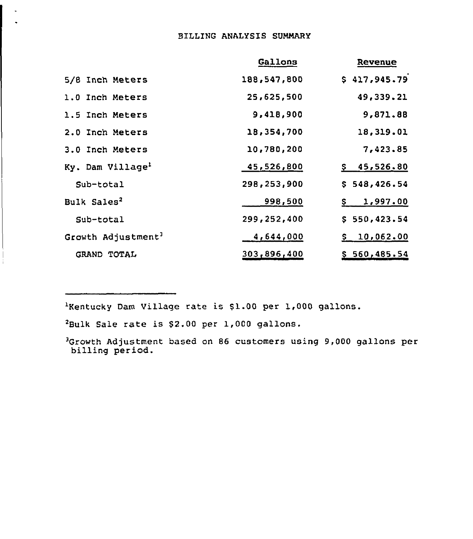# BILLING ANALYSIS SUMMARY

|                                | Gallons     | Revenue         |
|--------------------------------|-------------|-----------------|
| 5/8 Inch Meters                | 188,547,800 | \$417,945.79    |
| 1.0 Inch Meters                | 25,625,500  | 49,339.21       |
| 1.5 Inch Meters                | 9,418,900   | 9,871.88        |
| 2.0 Inch Meters                | 18,354,700  | 18,319.01       |
| 3.0 Inch Meters                | 10,780,200  | 7,423.85        |
| Ky. Dam Village <sup>1</sup>   | 45,526,800  | \$45,526.80     |
| Sub-total                      | 298,253,900 | \$548,426.54    |
| Bulk Sales <sup>2</sup>        | 998,500     | 1,997.00<br>\$. |
| Sub-total                      | 299,252,400 | \$550,423.54    |
| Growth Adjustment <sup>3</sup> | 4,644,000   | \$10,062.00     |
| GRAND TOTAL                    | 303,896,400 | \$560,485.54    |

'Kentucky Dam Village rate is \$1.00 per 1,000 gallons.

'Bulk Sale rate is 52.00 per 1,000 gallons.

 $\Box$ 

<sup>3</sup>Growth Adjustment based on 86 customers using 9,000 gallons per billing period.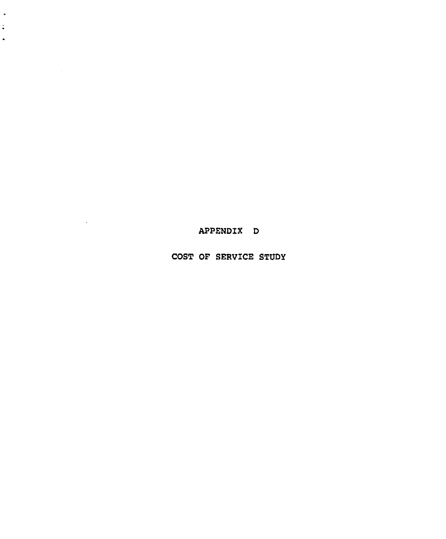APPENDIX D

 $\ddot{\phantom{0}}$  $\ddot{\bullet}$  $\hat{\phantom{a}}$ 

 $\sim 10^{-11}$ 

COST OF SERV1CE STVDY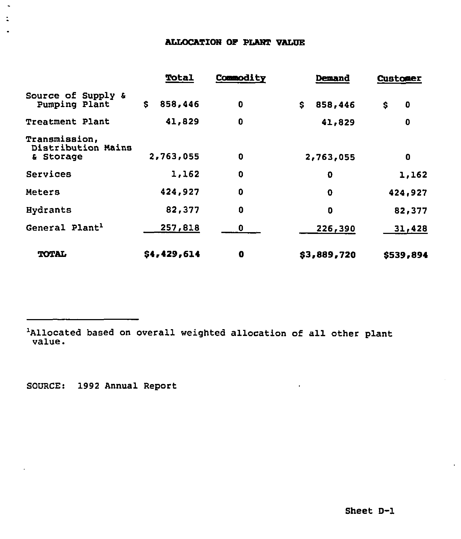# ALLOCATIOH OP PLAHT VALUE

|                                                  | Total         | Commodity   | <b>Demand</b> | <b>Customer</b> |
|--------------------------------------------------|---------------|-------------|---------------|-----------------|
| Source of Supply &<br>Pumping Plant              | 858,446<br>\$ | $\mathbf 0$ | \$<br>858,446 | 0<br>\$         |
| <b>Treatment Plant</b>                           | 41,829        | $\bf{0}$    | 41,829        | 0               |
| Transmission,<br>Distribution Mains<br>& Storage | 2,763,055     | $\bf{0}$    | 2,763,055     | 0               |
| Services                                         | 1,162         | $\mathbf 0$ | 0             | 1,162           |
| Meters                                           | 424,927       | $\bf{0}$    | $\mathbf 0$   | 424,927         |
| <b>Hydrants</b>                                  | 82,377        | 0           | 0             | 82,377          |
| General Plant <sup>1</sup>                       | 257,818       | 0           | 226,390       | 31,428          |
| <b>TOTAL</b>                                     | \$4,429,614   | 0           | \$3,889,720   | \$539,894       |

<sup>1</sup>Allocated based on overall weighted allocation of all other plant value.

SOURCE: 1992 Annual Report

 $\overline{\phantom{a}}$ 

 $\ddot{\phantom{a}}$  $\bar{z}$  $\ddot{\phantom{0}}$ 

 $\mathbf{v}^{\dagger}$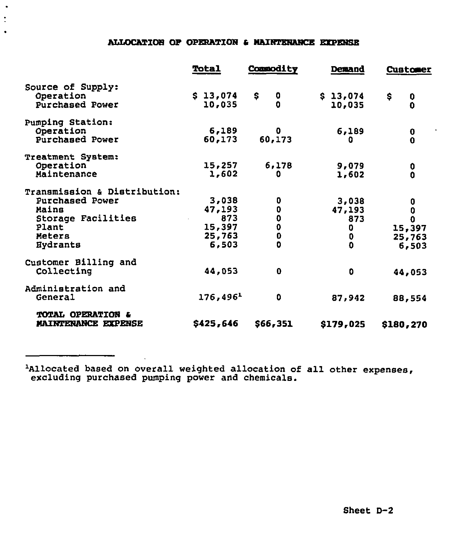# ALLOCATIOB OP OPERATIOH a MAIHTEHAHCE EXPEHSE

 $\bullet$  $\ddot{\cdot}$  $\bullet$ 

|                                                                                                                      | <b>Total</b>                                        | Commodity                                                               | <b>Demand</b>                                             | <b>Customer</b>                          |
|----------------------------------------------------------------------------------------------------------------------|-----------------------------------------------------|-------------------------------------------------------------------------|-----------------------------------------------------------|------------------------------------------|
| Source of Supply:<br>Operation<br>Purchased Power                                                                    | \$13,074<br>10,035                                  | \$<br>0<br>0                                                            | \$13,074<br>10,035                                        | \$<br>0<br>$\mathbf 0$                   |
| <b>Pumping Station:</b><br>Operation<br>Purchased Power                                                              | 6,189<br>60,173                                     | 0<br>60,173                                                             | 6,189<br>0                                                | 0<br>$\mathbf 0$                         |
| <b>Treatment System:</b><br>Operation<br>Maintenance                                                                 | 15,257<br>1,602                                     | 6,178<br>0                                                              | 9,079<br>1,602                                            | 0<br>0                                   |
| Transmission & Distribution:<br>Purchased Power<br>Mains<br>Storage Facilities<br>Plant<br>Meters<br><b>Hydrants</b> | 3,038<br>47,193<br>873<br>15,397<br>25,763<br>6,503 | 0<br>$\mathbf 0$<br>$\pmb{0}$<br>$\mathbf 0$<br>$\bf{0}$<br>$\mathbf 0$ | 3,038<br>47,193<br>873<br>0<br>$\mathbf 0$<br>$\mathbf 0$ | 0<br>0<br>O<br>15,397<br>25,763<br>6,503 |
| Customer Billing and<br>Collecting                                                                                   | 44,053                                              | $\mathbf 0$                                                             | 0                                                         | 44,053                                   |
| Administration and<br>General                                                                                        | 176,496 <sup>1</sup>                                | 0                                                                       | 87,942                                                    | 88,554                                   |
| TOTAL OPERATION &<br>MAINTENANCE EXPENSE                                                                             | \$425,646                                           | \$66,351                                                                | \$179,025                                                 | \$180,270                                |

Allocated based on overall weighted allocation of all other expenses, excluding purchased pumping power and chemicals.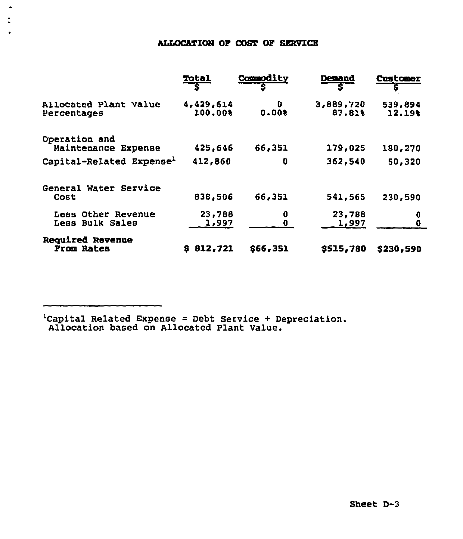# ALLOCATIOH OF COST OF SERVICE

 $\ddot{\phantom{0}}$  $\ddot{\phantom{a}}$  $\bullet$ 

|                                          | Total<br>S           | Commodity                 | <b>Demand</b><br>s  | <b>Customer</b><br>Ş |
|------------------------------------------|----------------------|---------------------------|---------------------|----------------------|
| Allocated Plant Value<br>Percentages     | 4,429,614<br>100.00% | D<br>$0.00$ <sup>\$</sup> | 3,889,720<br>87.81% | 539,894<br>12.19%    |
| Operation and<br>Maintenance Expense     | 425,646              | 66,351                    | 179,025             | 180,270              |
| Capital-Related Expense <sup>1</sup>     | 412,860              | 0                         | 362,540             | 50,320               |
| Water Service<br>General<br>Cost         | 838,506              | 66,351                    | 541,565             | 230,590              |
| Other Revenue<br>Less<br>Less Bulk Sales | 23,788<br>1,997      | 0<br>0                    | 23,788<br>1,997     | 0<br>$\mathbf 0$     |
| Reguired Revenue<br>From Rates           | 812,721<br>s         | \$66,351                  | \$515,780           | \$230,590            |

'Capital Related Expense <sup>=</sup> Debt Service <sup>+</sup> Depreciation. allocation based on Allocated Plant Value.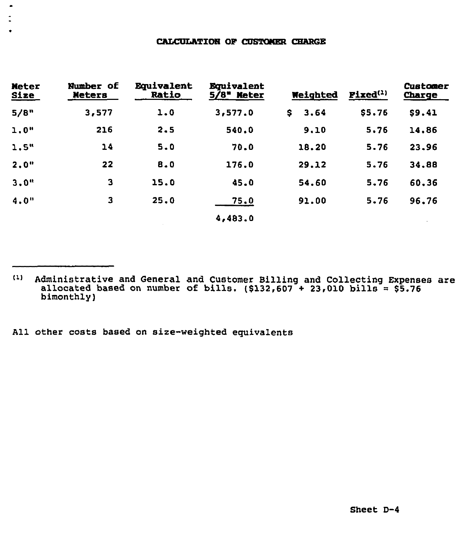#### CALCULATION OF CUSTOMER CHARGE

| <b>Meter</b><br><b>Size</b> | Number of<br><b>Meters</b> | <b>Equivalent</b><br>Ratio | <b>Equivalent</b><br>$5/8$ Meter | Weighted    | $\textbf{Fixed}^{(1)}$ | Customer<br>Charge |
|-----------------------------|----------------------------|----------------------------|----------------------------------|-------------|------------------------|--------------------|
| 5/8"                        | 3,577                      | 1.0                        | 3,577.0                          | 3.64<br>\$. | \$5.76                 | \$9.41             |
| 1.0"                        | 216                        | 2.5                        | 540.0                            | 9.10        | 5.76                   | 14,86              |
| 1.5"                        | 14                         | 5.0                        | 70.0                             | 18.20       | 5.76                   | 23.96              |
| 2.0"                        | 22                         | 8.0                        | 176.0                            | 29.12       | 5.76                   | 34.88              |
| 3.0"                        | 3                          | 15.0                       | 45.0                             | 54.60       | 5,76                   | 60,36              |
| 4.0"                        | 3                          | 25.0                       | 75.0                             | 91.00       | 5.76                   | 96.76              |
|                             |                            |                            | 4,483.0                          |             |                        |                    |

Administrative and General and Customer Billing and Collecting Expenses are allocated based on number of bills.  $($132,607 + 23,010$  bills =  $$5.76$  $(1)$ bimonthly)

All other costs based on size-weighted equivalents

 $\bullet$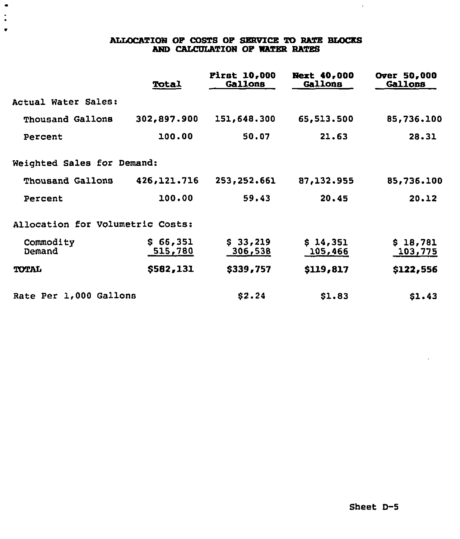# ALLOCATION OF COSTS OF SERVICE TD RATE BLOCKS AND CALCULATION OF WATER RATES

 $\bullet$ 

 $\ddot{\cdot}$  $\bullet$ 

|                                  | Total               | <b>First 10,000</b><br>Gallons | <b>Next 40,000</b><br><b>Gallons</b> | Over 50,000<br><b>Gallons</b> |
|----------------------------------|---------------------|--------------------------------|--------------------------------------|-------------------------------|
| Actual Water Sales:              |                     |                                |                                      |                               |
| Thousand Gallons                 | 302,897.900         | 151,648.300                    | 65,513.500                           | 85,736.100                    |
| Percent                          | 100.00              | 50.07                          | 21,63                                | 28.31                         |
| Weighted Sales for Demand:       |                     |                                |                                      |                               |
| Thousand Gallons                 | 426,121.716         | 253,252.661                    | 87,132.955                           | 85,736.100                    |
| Percent                          | 100.00              | 59.43                          | 20.45                                | 20.12                         |
| Allocation for Volumetric Costs: |                     |                                |                                      |                               |
| Commodity<br>Demand              | \$66,351<br>515,780 | \$33,219<br>306,538            | \$14,351<br>105,466                  | \$18,781<br>103,775           |
| <b>TOTAL</b>                     | \$582,131           | \$339,757                      | \$119,817                            | \$122,556                     |
| Rate Per 1,000 Gallons           |                     | \$2.24                         | \$1.83                               | \$1.43                        |

 $\sim$